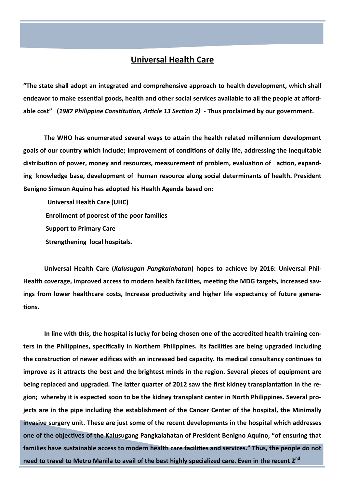## **Universal Health Care**

**"The state shall adopt an integrated and comprehensive approach to health development, which shall endeavor to make essential goods, health and other social services available to all the people at affordable cost" (***1987 Philippine Constitution, Article 13 Section 2)* **- Thus proclaimed by our government.**

**The WHO has enumerated several ways to attain the health related millennium development goals of our country which include; improvement of conditions of daily life, addressing the inequitable distribution of power, money and resources, measurement of problem, evaluation of action, expanding knowledge base, development of human resource along social determinants of health. President Benigno Simeon Aquino has adopted his Health Agenda based on:**

 **Universal Health Care (UHC) Enrollment of poorest of the poor families Support to Primary Care Strengthening local hospitals.**

**Universal Health Care (***Kalusugan Pangkalahatan***) hopes to achieve by 2016: Universal Phil-Health coverage, improved access to modern health facilities, meeting the MDG targets, increased savings from lower healthcare costs, Increase productivity and higher life expectancy of future generations.** 

**In line with this, the hospital is lucky for being chosen one of the accredited health training centers in the Philippines, specifically in Northern Philippines. Its facilities are being upgraded including the construction of newer edifices with an increased bed capacity. Its medical consultancy continues to improve as it attracts the best and the brightest minds in the region. Several pieces of equipment are being replaced and upgraded. The latter quarter of 2012 saw the first kidney transplantation in the region; whereby it is expected soon to be the kidney transplant center in North Philippines. Several projects are in the pipe including the establishment of the Cancer Center of the hospital, the Minimally invasive surgery unit. These are just some of the recent developments in the hospital which addresses one of the objectives of the Kalusugang Pangkalahatan of President Benigno Aquino, "of ensuring that families have sustainable access to modern health care facilities and services." Thus, the people do not need to travel to Metro Manila to avail of the best highly specialized care. Even in the recent 2nd**